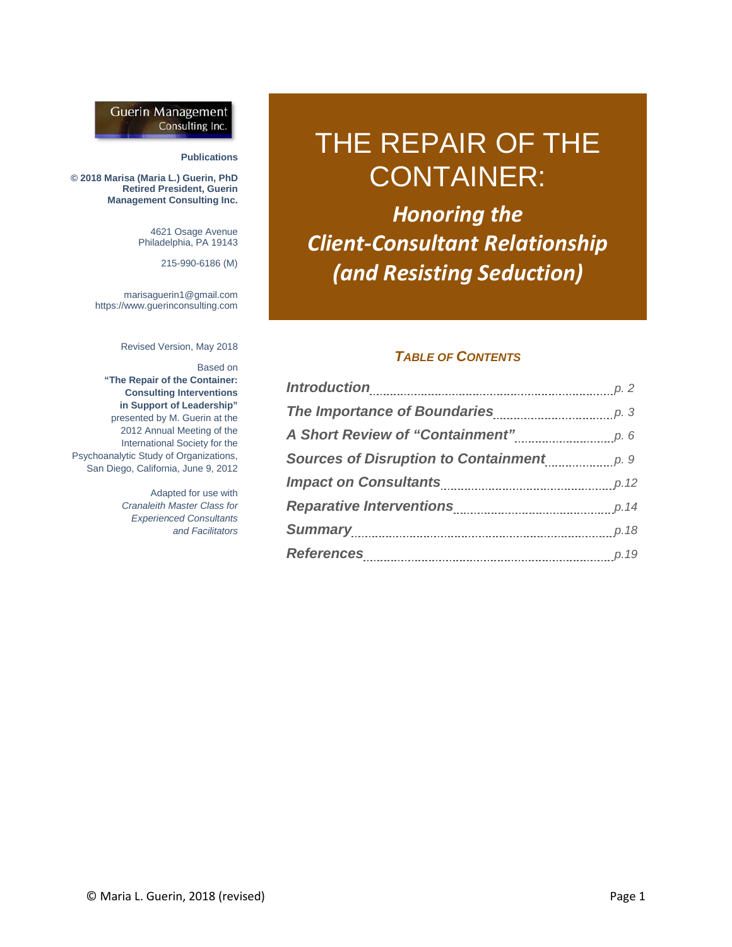#### **Guerin Management** Consulting Inc.

#### **Publications**

**© 2018 Marisa (Maria L.) Guerin, PhD Retired President, Guerin Management Consulting Inc.**

> 4621 Osage Avenue Philadelphia, PA 19143

> > 215-990-6186 (M)

marisaguerin1@gmail.com https://www.guerinconsulting.com

Revised Version, May 2018

Based on

**"The Repair of the Container: Consulting Interventions in Support of Leadership"** presented by M. Guerin at the 2012 Annual Meeting of the International Society for the Psychoanalytic Study of Organizations, San Diego, California, June 9, 2012

> Adapted for use with *Cranaleith Master Class for Experienced Consultants and Facilitators*

# THE REPAIR OF THE CONTAINER:

*Honoring the Client-Consultant Relationship (and Resisting Seduction)*

#### *TABLE OF CONTENTS*

| Sources of Disruption to Containment <i>p. 9</i> |  |
|--------------------------------------------------|--|
|                                                  |  |
|                                                  |  |
| <b>Summary</b> p.18                              |  |
|                                                  |  |
|                                                  |  |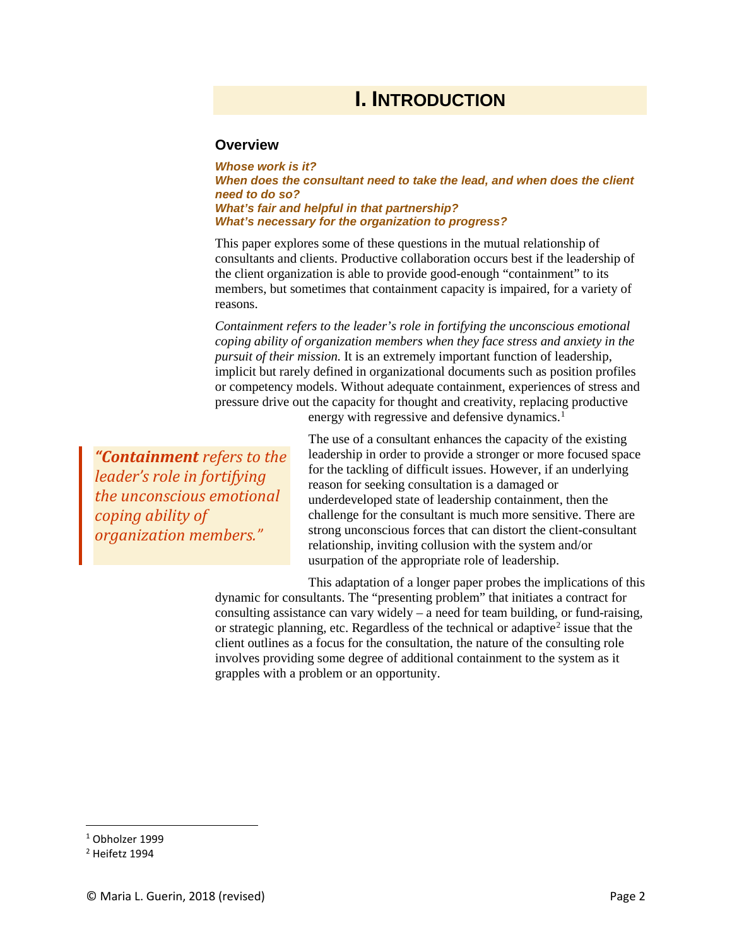### **I. INTRODUCTION**

#### **Overview**

*Whose work is it? When does the consultant need to take the lead, and when does the client need to do so? What's fair and helpful in that partnership? What's necessary for the organization to progress?*

This paper explores some of these questions in the mutual relationship of consultants and clients. Productive collaboration occurs best if the leadership of the client organization is able to provide good-enough "containment" to its members, but sometimes that containment capacity is impaired, for a variety of reasons.

*Containment refers to the leader's role in fortifying the unconscious emotional coping ability of organization members when they face stress and anxiety in the pursuit of their mission.* It is an extremely important function of leadership, implicit but rarely defined in organizational documents such as position profiles or competency models. Without adequate containment, experiences of stress and pressure drive out the capacity for thought and creativity, replacing productive

*"Containment refers to the leader's role in fortifying the unconscious emotional coping ability of organization members."*

energy with regressive and defensive dynamics.<sup>[1](#page-1-0)</sup>

The use of a consultant enhances the capacity of the existing leadership in order to provide a stronger or more focused space for the tackling of difficult issues. However, if an underlying reason for seeking consultation is a damaged or underdeveloped state of leadership containment, then the challenge for the consultant is much more sensitive. There are strong unconscious forces that can distort the client-consultant relationship, inviting collusion with the system and/or usurpation of the appropriate role of leadership.

This adaptation of a longer paper probes the implications of this dynamic for consultants. The "presenting problem" that initiates a contract for consulting assistance can vary widely – a need for team building, or fund-raising, or strategic planning, etc. Regardless of the technical or adaptive<sup>2</sup> issue that the client outlines as a focus for the consultation, the nature of the consulting role involves providing some degree of additional containment to the system as it grapples with a problem or an opportunity.

<span id="page-1-0"></span> <sup>1</sup> Obholzer 1999

<span id="page-1-1"></span><sup>2</sup> Heifetz 1994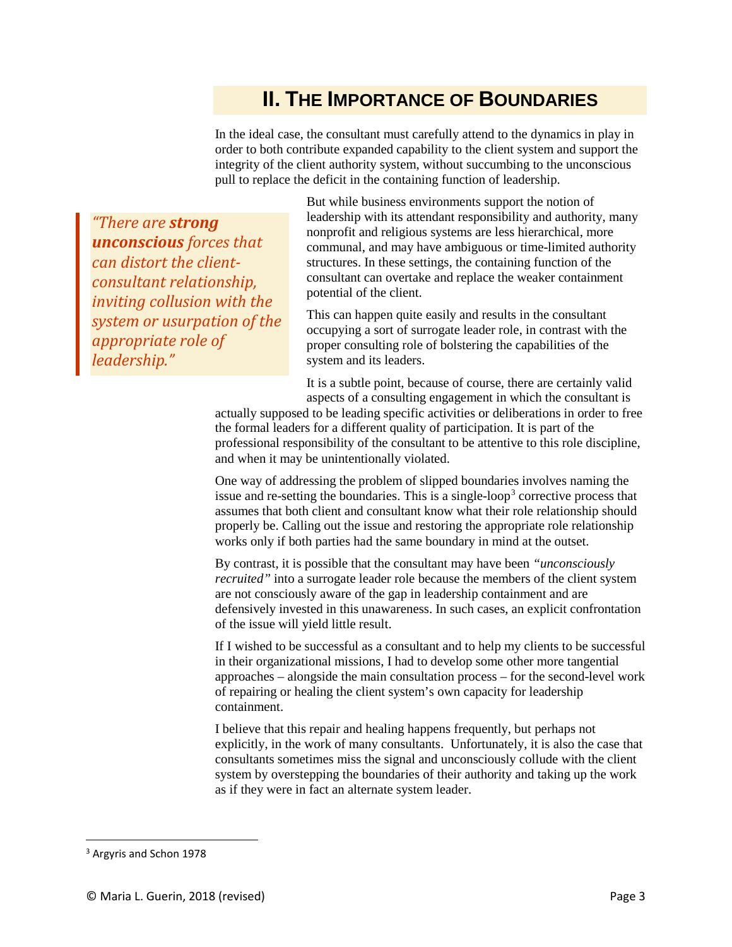### **II. THE IMPORTANCE OF BOUNDARIES**

In the ideal case, the consultant must carefully attend to the dynamics in play in order to both contribute expanded capability to the client system and support the integrity of the client authority system, without succumbing to the unconscious pull to replace the deficit in the containing function of leadership.

*"There are strong unconscious forces that can distort the clientconsultant relationship, inviting collusion with the system or usurpation of the appropriate role of leadership."*

But while business environments support the notion of leadership with its attendant responsibility and authority, many nonprofit and religious systems are less hierarchical, more communal, and may have ambiguous or time-limited authority structures. In these settings, the containing function of the consultant can overtake and replace the weaker containment potential of the client.

This can happen quite easily and results in the consultant occupying a sort of surrogate leader role, in contrast with the proper consulting role of bolstering the capabilities of the system and its leaders.

It is a subtle point, because of course, there are certainly valid aspects of a consulting engagement in which the consultant is

actually supposed to be leading specific activities or deliberations in order to free the formal leaders for a different quality of participation. It is part of the professional responsibility of the consultant to be attentive to this role discipline, and when it may be unintentionally violated.

One way of addressing the problem of slipped boundaries involves naming the issue and re-setting the boundaries. This is a single-loop<sup>[3](#page-2-0)</sup> corrective process that assumes that both client and consultant know what their role relationship should properly be. Calling out the issue and restoring the appropriate role relationship works only if both parties had the same boundary in mind at the outset.

By contrast, it is possible that the consultant may have been *"unconsciously recruited"* into a surrogate leader role because the members of the client system are not consciously aware of the gap in leadership containment and are defensively invested in this unawareness. In such cases, an explicit confrontation of the issue will yield little result.

If I wished to be successful as a consultant and to help my clients to be successful in their organizational missions, I had to develop some other more tangential approaches – alongside the main consultation process – for the second-level work of repairing or healing the client system's own capacity for leadership containment.

I believe that this repair and healing happens frequently, but perhaps not explicitly, in the work of many consultants. Unfortunately, it is also the case that consultants sometimes miss the signal and unconsciously collude with the client system by overstepping the boundaries of their authority and taking up the work as if they were in fact an alternate system leader.

<span id="page-2-0"></span> <sup>3</sup> Argyris and Schon 1978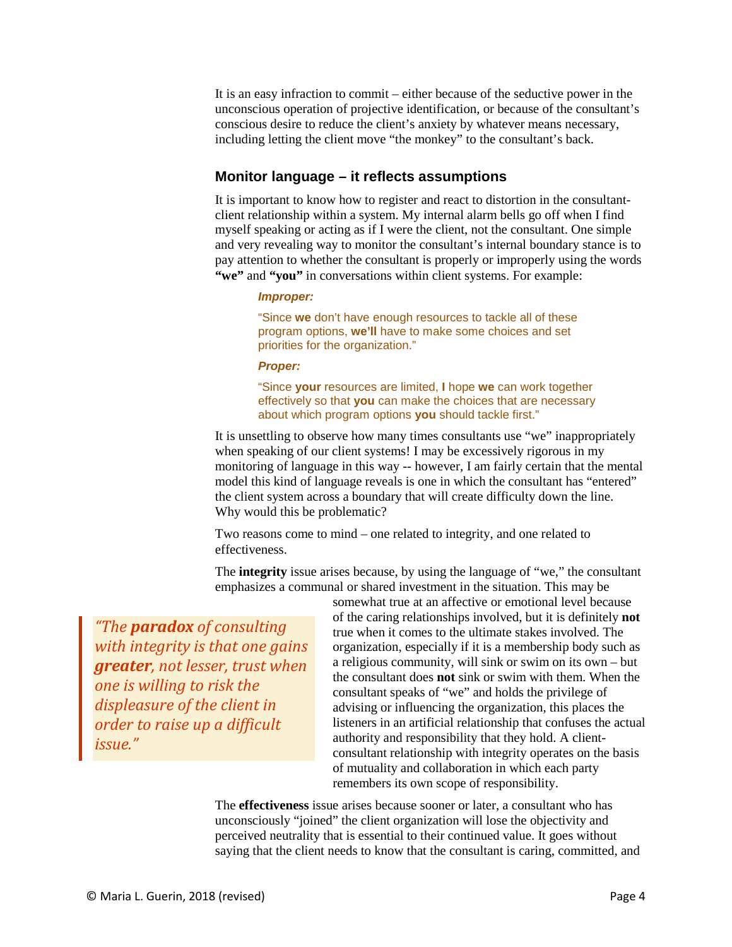It is an easy infraction to commit – either because of the seductive power in the unconscious operation of projective identification, or because of the consultant's conscious desire to reduce the client's anxiety by whatever means necessary, including letting the client move "the monkey" to the consultant's back.

#### **Monitor language – it reflects assumptions**

It is important to know how to register and react to distortion in the consultantclient relationship within a system. My internal alarm bells go off when I find myself speaking or acting as if I were the client, not the consultant. One simple and very revealing way to monitor the consultant's internal boundary stance is to pay attention to whether the consultant is properly or improperly using the words **"we"** and **"you"** in conversations within client systems. For example:

#### *Improper:*

"Since **we** don't have enough resources to tackle all of these program options, **we'll** have to make some choices and set priorities for the organization."

#### *Proper:*

"Since **your** resources are limited, **I** hope **we** can work together effectively so that **you** can make the choices that are necessary about which program options **you** should tackle first."

It is unsettling to observe how many times consultants use "we" inappropriately when speaking of our client systems! I may be excessively rigorous in my monitoring of language in this way -- however, I am fairly certain that the mental model this kind of language reveals is one in which the consultant has "entered" the client system across a boundary that will create difficulty down the line. Why would this be problematic?

Two reasons come to mind – one related to integrity, and one related to effectiveness.

The **integrity** issue arises because, by using the language of "we," the consultant emphasizes a communal or shared investment in the situation. This may be

*"The paradox of consulting with integrity is that one gains greater, not lesser, trust when one is willing to risk the displeasure of the client in order to raise up a difficult issue."*

somewhat true at an affective or emotional level because of the caring relationships involved, but it is definitely **not** true when it comes to the ultimate stakes involved. The organization, especially if it is a membership body such as a religious community, will sink or swim on its own – but the consultant does **not** sink or swim with them. When the consultant speaks of "we" and holds the privilege of advising or influencing the organization, this places the listeners in an artificial relationship that confuses the actual authority and responsibility that they hold. A clientconsultant relationship with integrity operates on the basis of mutuality and collaboration in which each party remembers its own scope of responsibility.

The **effectiveness** issue arises because sooner or later, a consultant who has unconsciously "joined" the client organization will lose the objectivity and perceived neutrality that is essential to their continued value. It goes without saying that the client needs to know that the consultant is caring, committed, and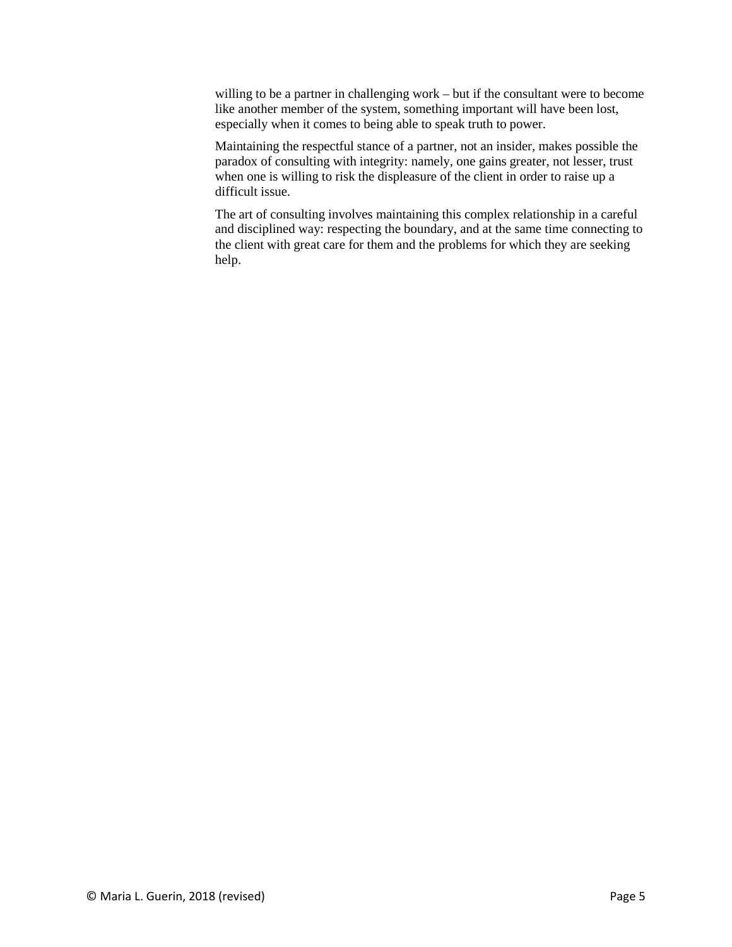willing to be a partner in challenging work – but if the consultant were to become like another member of the system, something important will have been lost, especially when it comes to being able to speak truth to power.

Maintaining the respectful stance of a partner, not an insider, makes possible the paradox of consulting with integrity: namely, one gains greater, not lesser, trust when one is willing to risk the displeasure of the client in order to raise up a difficult issue.

The art of consulting involves maintaining this complex relationship in a careful and disciplined way: respecting the boundary, and at the same time connecting to the client with great care for them and the problems for which they are seeking help.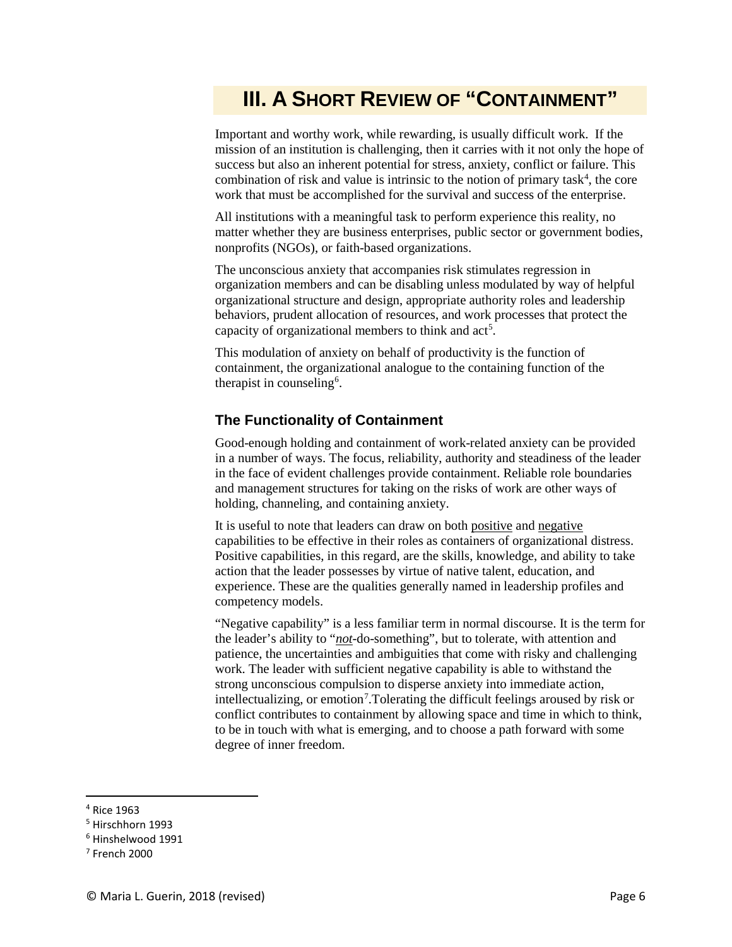# **III. A SHORT REVIEW OF "CONTAINMENT"**

Important and worthy work, while rewarding, is usually difficult work. If the mission of an institution is challenging, then it carries with it not only the hope of success but also an inherent potential for stress, anxiety, conflict or failure. This combination of risk and value is intrinsic to the notion of primary task<sup>[4](#page-5-0)</sup>, the core work that must be accomplished for the survival and success of the enterprise.

All institutions with a meaningful task to perform experience this reality, no matter whether they are business enterprises, public sector or government bodies, nonprofits (NGOs), or faith-based organizations.

The unconscious anxiety that accompanies risk stimulates regression in organization members and can be disabling unless modulated by way of helpful organizational structure and design, appropriate authority roles and leadership behaviors, prudent allocation of resources, and work processes that protect the capacity of organizational members to think and  $act<sup>5</sup>$  $act<sup>5</sup>$  $act<sup>5</sup>$ .

This modulation of anxiety on behalf of productivity is the function of containment, the organizational analogue to the containing function of the therapist in counseling<sup>[6](#page-5-2)</sup>.

#### **The Functionality of Containment**

Good-enough holding and containment of work-related anxiety can be provided in a number of ways. The focus, reliability, authority and steadiness of the leader in the face of evident challenges provide containment. Reliable role boundaries and management structures for taking on the risks of work are other ways of holding, channeling, and containing anxiety.

It is useful to note that leaders can draw on both positive and negative capabilities to be effective in their roles as containers of organizational distress. Positive capabilities, in this regard, are the skills, knowledge, and ability to take action that the leader possesses by virtue of native talent, education, and experience. These are the qualities generally named in leadership profiles and competency models.

"Negative capability" is a less familiar term in normal discourse. It is the term for the leader's ability to "*not*-do-something", but to tolerate, with attention and patience, the uncertainties and ambiguities that come with risky and challenging work. The leader with sufficient negative capability is able to withstand the strong unconscious compulsion to disperse anxiety into immediate action, intellectualizing, or emotion<sup>[7](#page-5-3)</sup>. Tolerating the difficult feelings aroused by risk or conflict contributes to containment by allowing space and time in which to think, to be in touch with what is emerging, and to choose a path forward with some degree of inner freedom.

<span id="page-5-0"></span> <sup>4</sup> Rice 1963

<span id="page-5-1"></span><sup>5</sup> Hirschhorn 1993

<span id="page-5-2"></span><sup>6</sup> Hinshelwood 1991

<span id="page-5-3"></span><sup>7</sup> French 2000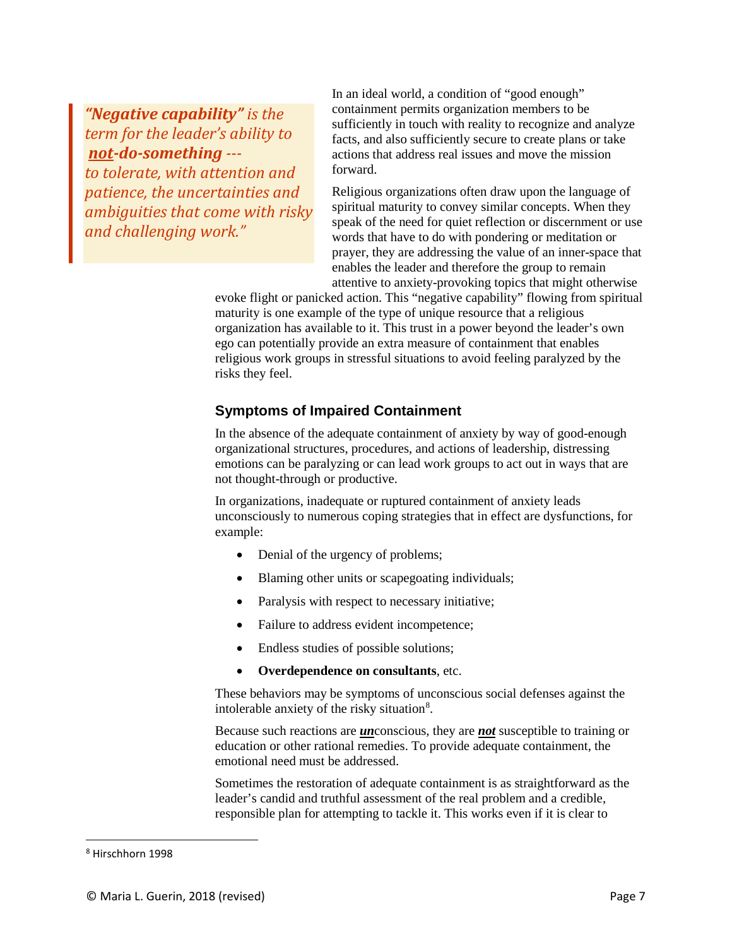*"Negative capability" is the term for the leader's ability to not-do-something -- to tolerate, with attention and patience, the uncertainties and ambiguities that come with risky and challenging work."*

In an ideal world, a condition of "good enough" containment permits organization members to be sufficiently in touch with reality to recognize and analyze facts, and also sufficiently secure to create plans or take actions that address real issues and move the mission forward.

Religious organizations often draw upon the language of spiritual maturity to convey similar concepts. When they speak of the need for quiet reflection or discernment or use words that have to do with pondering or meditation or prayer, they are addressing the value of an inner-space that enables the leader and therefore the group to remain attentive to anxiety-provoking topics that might otherwise

evoke flight or panicked action. This "negative capability" flowing from spiritual maturity is one example of the type of unique resource that a religious organization has available to it. This trust in a power beyond the leader's own ego can potentially provide an extra measure of containment that enables religious work groups in stressful situations to avoid feeling paralyzed by the risks they feel.

### **Symptoms of Impaired Containment**

In the absence of the adequate containment of anxiety by way of good-enough organizational structures, procedures, and actions of leadership, distressing emotions can be paralyzing or can lead work groups to act out in ways that are not thought-through or productive.

In organizations, inadequate or ruptured containment of anxiety leads unconsciously to numerous coping strategies that in effect are dysfunctions, for example:

- Denial of the urgency of problems;
- Blaming other units or scapegoating individuals;
- Paralysis with respect to necessary initiative;
- Failure to address evident incompetence;
- Endless studies of possible solutions;
- **Overdependence on consultants**, etc.

These behaviors may be symptoms of unconscious social defenses against the intolerable anxiety of the risky situation<sup>[8](#page-6-0)</sup>.

Because such reactions are *un*conscious, they are *not* susceptible to training or education or other rational remedies. To provide adequate containment, the emotional need must be addressed.

Sometimes the restoration of adequate containment is as straightforward as the leader's candid and truthful assessment of the real problem and a credible, responsible plan for attempting to tackle it. This works even if it is clear to

<span id="page-6-0"></span> <sup>8</sup> Hirschhorn 1998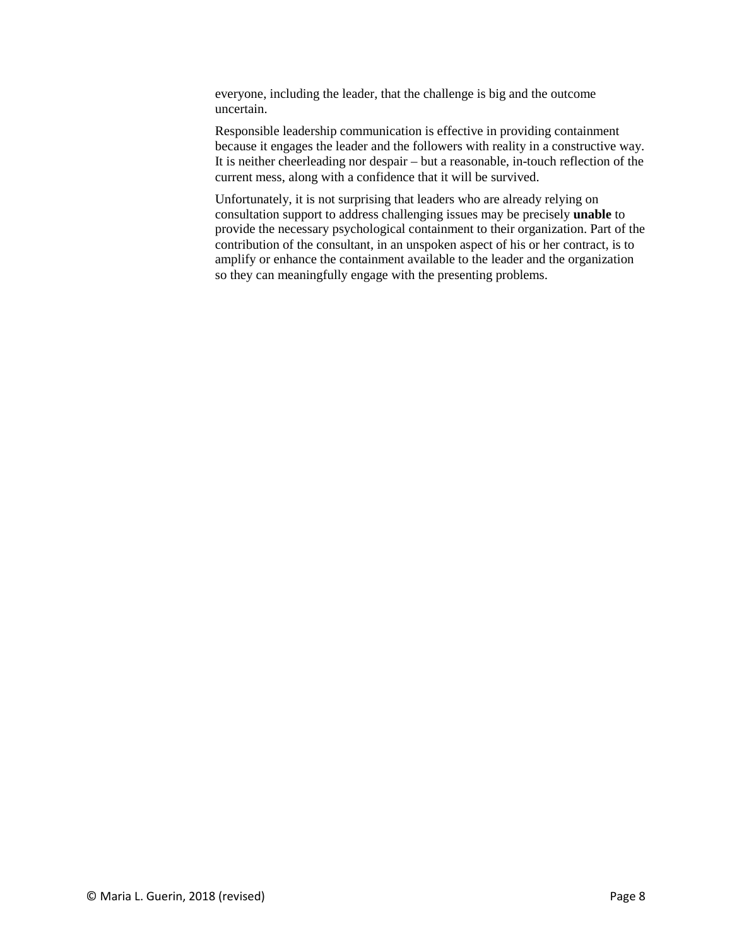everyone, including the leader, that the challenge is big and the outcome uncertain.

Responsible leadership communication is effective in providing containment because it engages the leader and the followers with reality in a constructive way. It is neither cheerleading nor despair – but a reasonable, in-touch reflection of the current mess, along with a confidence that it will be survived.

Unfortunately, it is not surprising that leaders who are already relying on consultation support to address challenging issues may be precisely **unable** to provide the necessary psychological containment to their organization. Part of the contribution of the consultant, in an unspoken aspect of his or her contract, is to amplify or enhance the containment available to the leader and the organization so they can meaningfully engage with the presenting problems.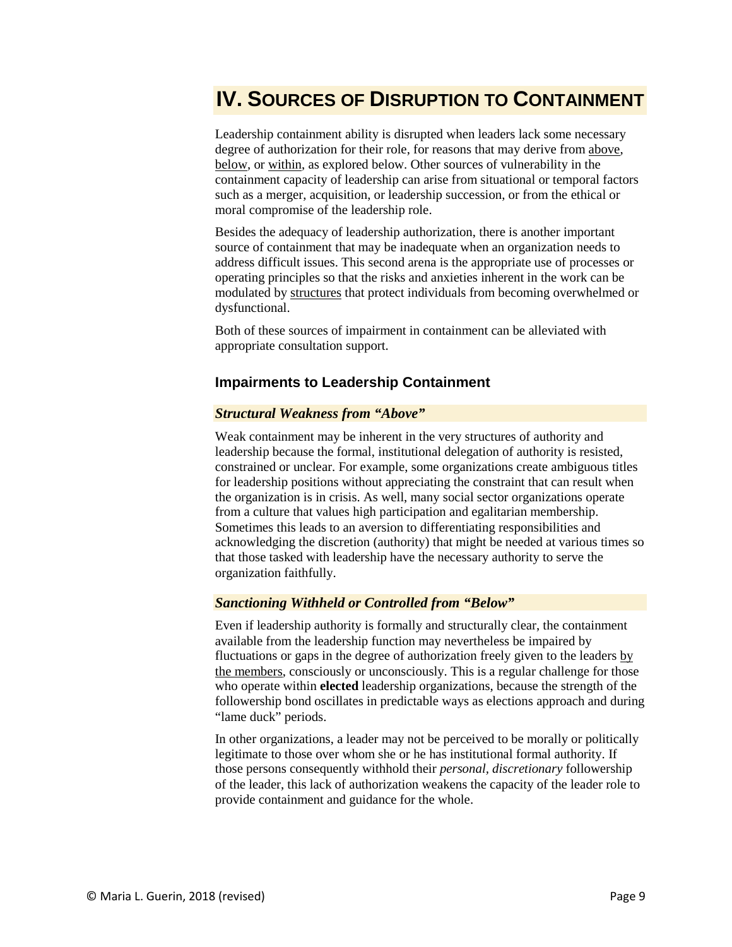## **IV. SOURCES OF DISRUPTION TO CONTAINMENT**

Leadership containment ability is disrupted when leaders lack some necessary degree of authorization for their role, for reasons that may derive from above, below, or within, as explored below. Other sources of vulnerability in the containment capacity of leadership can arise from situational or temporal factors such as a merger, acquisition, or leadership succession, or from the ethical or moral compromise of the leadership role.

Besides the adequacy of leadership authorization, there is another important source of containment that may be inadequate when an organization needs to address difficult issues. This second arena is the appropriate use of processes or operating principles so that the risks and anxieties inherent in the work can be modulated by structures that protect individuals from becoming overwhelmed or dysfunctional.

Both of these sources of impairment in containment can be alleviated with appropriate consultation support.

#### **Impairments to Leadership Containment**

#### *Structural Weakness from "Above"*

Weak containment may be inherent in the very structures of authority and leadership because the formal, institutional delegation of authority is resisted, constrained or unclear. For example, some organizations create ambiguous titles for leadership positions without appreciating the constraint that can result when the organization is in crisis. As well, many social sector organizations operate from a culture that values high participation and egalitarian membership. Sometimes this leads to an aversion to differentiating responsibilities and acknowledging the discretion (authority) that might be needed at various times so that those tasked with leadership have the necessary authority to serve the organization faithfully.

#### *Sanctioning Withheld or Controlled from "Below"*

Even if leadership authority is formally and structurally clear, the containment available from the leadership function may nevertheless be impaired by fluctuations or gaps in the degree of authorization freely given to the leaders by the members, consciously or unconsciously. This is a regular challenge for those who operate within **elected** leadership organizations, because the strength of the followership bond oscillates in predictable ways as elections approach and during "lame duck" periods.

In other organizations, a leader may not be perceived to be morally or politically legitimate to those over whom she or he has institutional formal authority. If those persons consequently withhold their *personal, discretionary* followership of the leader, this lack of authorization weakens the capacity of the leader role to provide containment and guidance for the whole.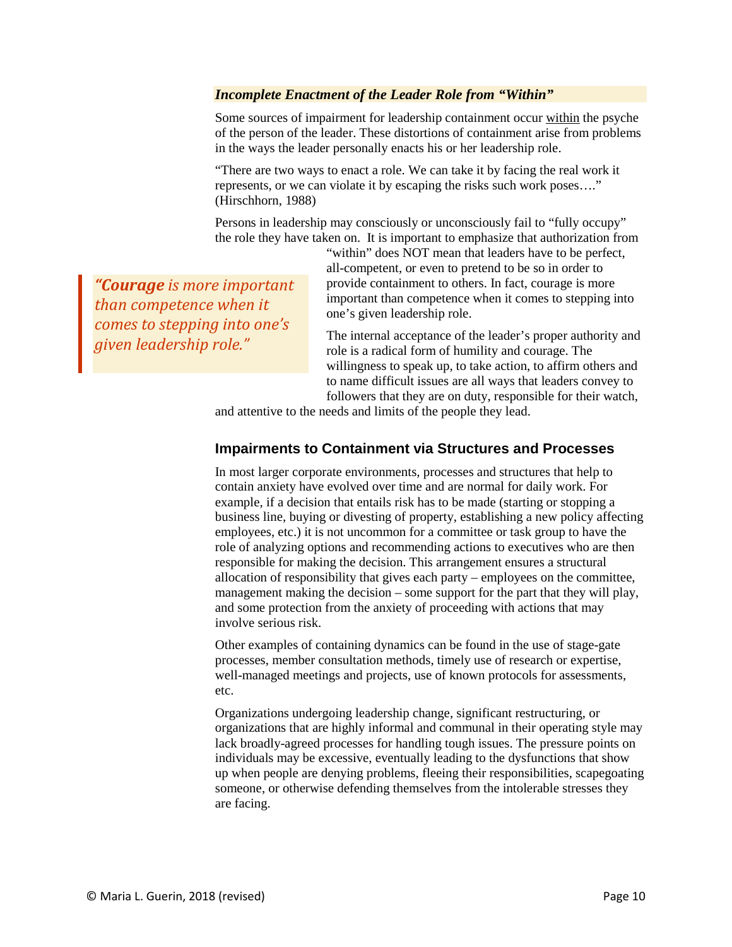#### *Incomplete Enactment of the Leader Role from "Within"*

Some sources of impairment for leadership containment occur within the psyche of the person of the leader. These distortions of containment arise from problems in the ways the leader personally enacts his or her leadership role.

"There are two ways to enact a role. We can take it by facing the real work it represents, or we can violate it by escaping the risks such work poses…." (Hirschhorn, 1988)

Persons in leadership may consciously or unconsciously fail to "fully occupy" the role they have taken on. It is important to emphasize that authorization from

*"Courage is more important than competence when it comes to stepping into one's given leadership role."*

"within" does NOT mean that leaders have to be perfect, all-competent, or even to pretend to be so in order to provide containment to others. In fact, courage is more important than competence when it comes to stepping into one's given leadership role.

The internal acceptance of the leader's proper authority and role is a radical form of humility and courage. The willingness to speak up, to take action, to affirm others and to name difficult issues are all ways that leaders convey to followers that they are on duty, responsible for their watch,

and attentive to the needs and limits of the people they lead.

#### **Impairments to Containment via Structures and Processes**

In most larger corporate environments, processes and structures that help to contain anxiety have evolved over time and are normal for daily work. For example, if a decision that entails risk has to be made (starting or stopping a business line, buying or divesting of property, establishing a new policy affecting employees, etc.) it is not uncommon for a committee or task group to have the role of analyzing options and recommending actions to executives who are then responsible for making the decision. This arrangement ensures a structural allocation of responsibility that gives each party – employees on the committee, management making the decision – some support for the part that they will play, and some protection from the anxiety of proceeding with actions that may involve serious risk.

Other examples of containing dynamics can be found in the use of stage-gate processes, member consultation methods, timely use of research or expertise, well-managed meetings and projects, use of known protocols for assessments, etc.

Organizations undergoing leadership change, significant restructuring, or organizations that are highly informal and communal in their operating style may lack broadly-agreed processes for handling tough issues. The pressure points on individuals may be excessive, eventually leading to the dysfunctions that show up when people are denying problems, fleeing their responsibilities, scapegoating someone, or otherwise defending themselves from the intolerable stresses they are facing.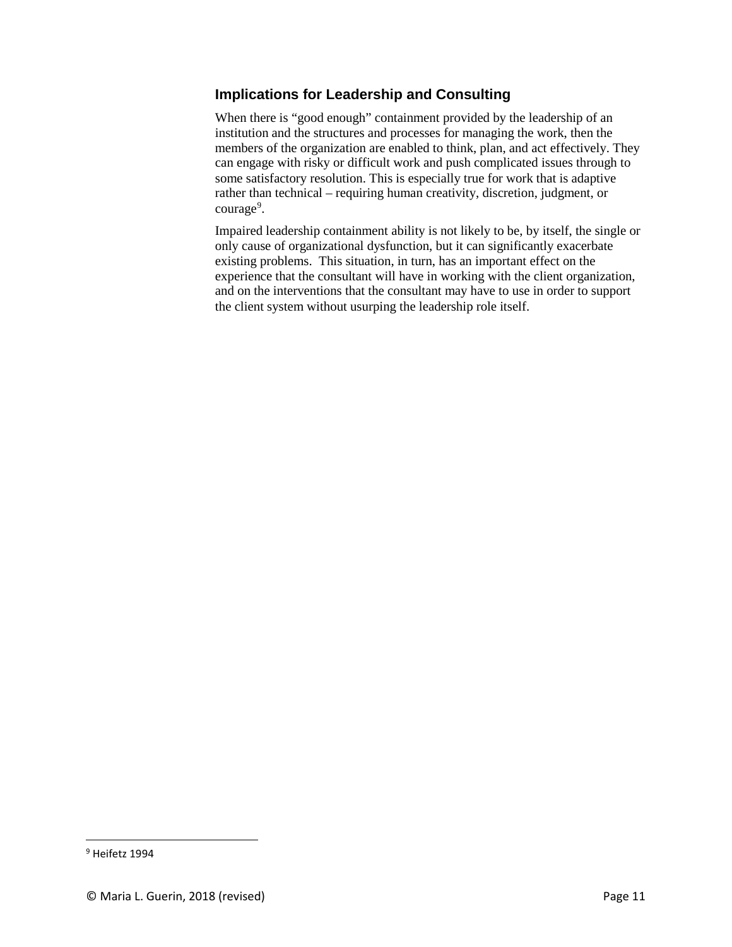### **Implications for Leadership and Consulting**

When there is "good enough" containment provided by the leadership of an institution and the structures and processes for managing the work, then the members of the organization are enabled to think, plan, and act effectively. They can engage with risky or difficult work and push complicated issues through to some satisfactory resolution. This is especially true for work that is adaptive rather than technical – requiring human creativity, discretion, judgment, or courage<sup>[9](#page-10-0)</sup>.

Impaired leadership containment ability is not likely to be, by itself, the single or only cause of organizational dysfunction, but it can significantly exacerbate existing problems. This situation, in turn, has an important effect on the experience that the consultant will have in working with the client organization, and on the interventions that the consultant may have to use in order to support the client system without usurping the leadership role itself.

<span id="page-10-0"></span> <sup>9</sup> Heifetz 1994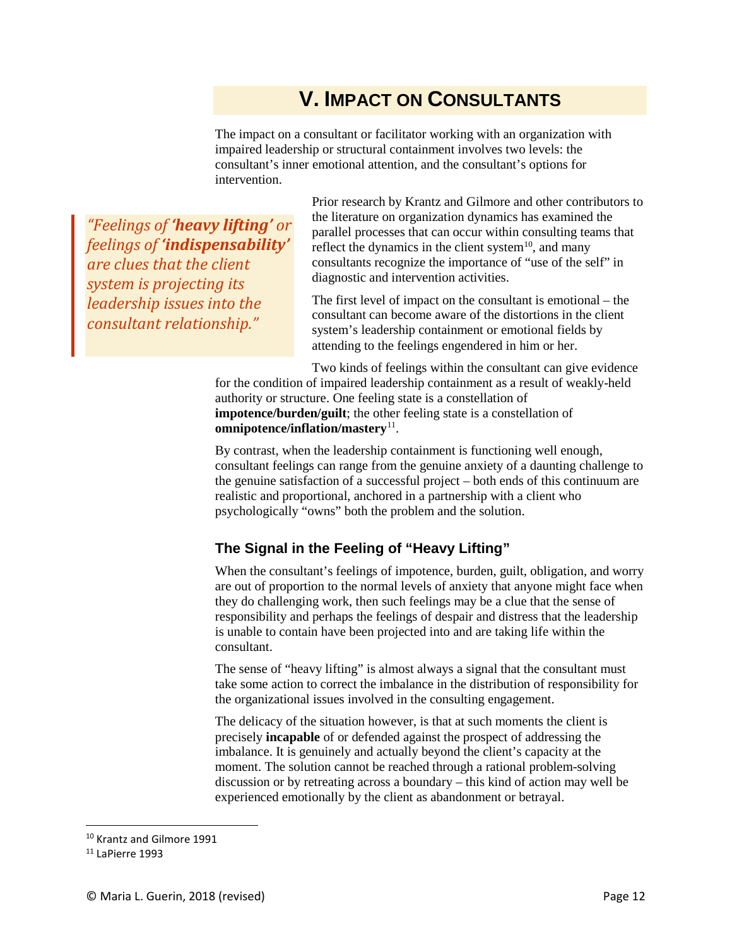## **V. IMPACT ON CONSULTANTS**

The impact on a consultant or facilitator working with an organization with impaired leadership or structural containment involves two levels: the consultant's inner emotional attention, and the consultant's options for intervention.

*"Feelings of 'heavy lifting' or feelings of 'indispensability' are clues that the client system is projecting its leadership issues into the consultant relationship."*

Prior research by Krantz and Gilmore and other contributors to the literature on organization dynamics has examined the parallel processes that can occur within consulting teams that reflect the dynamics in the client system<sup>10</sup>, and many consultants recognize the importance of "use of the self" in diagnostic and intervention activities.

The first level of impact on the consultant is emotional – the consultant can become aware of the distortions in the client system's leadership containment or emotional fields by attending to the feelings engendered in him or her.

Two kinds of feelings within the consultant can give evidence for the condition of impaired leadership containment as a result of weakly-held authority or structure. One feeling state is a constellation of **impotence/burden/guilt**; the other feeling state is a constellation of **omnipotence/inflation/mastery**[11](#page-11-1).

By contrast, when the leadership containment is functioning well enough, consultant feelings can range from the genuine anxiety of a daunting challenge to the genuine satisfaction of a successful project – both ends of this continuum are realistic and proportional, anchored in a partnership with a client who psychologically "owns" both the problem and the solution.

#### **The Signal in the Feeling of "Heavy Lifting"**

When the consultant's feelings of impotence, burden, guilt, obligation, and worry are out of proportion to the normal levels of anxiety that anyone might face when they do challenging work, then such feelings may be a clue that the sense of responsibility and perhaps the feelings of despair and distress that the leadership is unable to contain have been projected into and are taking life within the consultant.

The sense of "heavy lifting" is almost always a signal that the consultant must take some action to correct the imbalance in the distribution of responsibility for the organizational issues involved in the consulting engagement.

The delicacy of the situation however, is that at such moments the client is precisely **incapable** of or defended against the prospect of addressing the imbalance. It is genuinely and actually beyond the client's capacity at the moment. The solution cannot be reached through a rational problem-solving discussion or by retreating across a boundary – this kind of action may well be experienced emotionally by the client as abandonment or betrayal.

<span id="page-11-0"></span> <sup>10</sup> Krantz and Gilmore 1991

<span id="page-11-1"></span><sup>11</sup> LaPierre 1993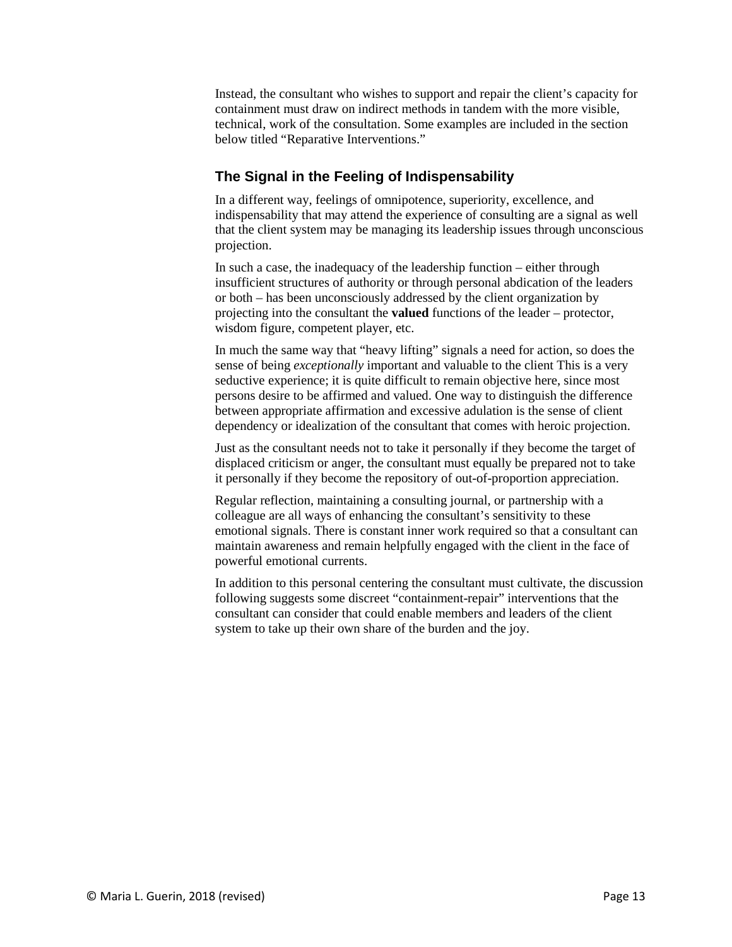Instead, the consultant who wishes to support and repair the client's capacity for containment must draw on indirect methods in tandem with the more visible, technical, work of the consultation. Some examples are included in the section below titled "Reparative Interventions."

#### **The Signal in the Feeling of Indispensability**

In a different way, feelings of omnipotence, superiority, excellence, and indispensability that may attend the experience of consulting are a signal as well that the client system may be managing its leadership issues through unconscious projection.

In such a case, the inadequacy of the leadership function – either through insufficient structures of authority or through personal abdication of the leaders or both – has been unconsciously addressed by the client organization by projecting into the consultant the **valued** functions of the leader – protector, wisdom figure, competent player, etc.

In much the same way that "heavy lifting" signals a need for action, so does the sense of being *exceptionally* important and valuable to the client This is a very seductive experience; it is quite difficult to remain objective here, since most persons desire to be affirmed and valued. One way to distinguish the difference between appropriate affirmation and excessive adulation is the sense of client dependency or idealization of the consultant that comes with heroic projection.

Just as the consultant needs not to take it personally if they become the target of displaced criticism or anger, the consultant must equally be prepared not to take it personally if they become the repository of out-of-proportion appreciation.

Regular reflection, maintaining a consulting journal, or partnership with a colleague are all ways of enhancing the consultant's sensitivity to these emotional signals. There is constant inner work required so that a consultant can maintain awareness and remain helpfully engaged with the client in the face of powerful emotional currents.

In addition to this personal centering the consultant must cultivate, the discussion following suggests some discreet "containment-repair" interventions that the consultant can consider that could enable members and leaders of the client system to take up their own share of the burden and the joy.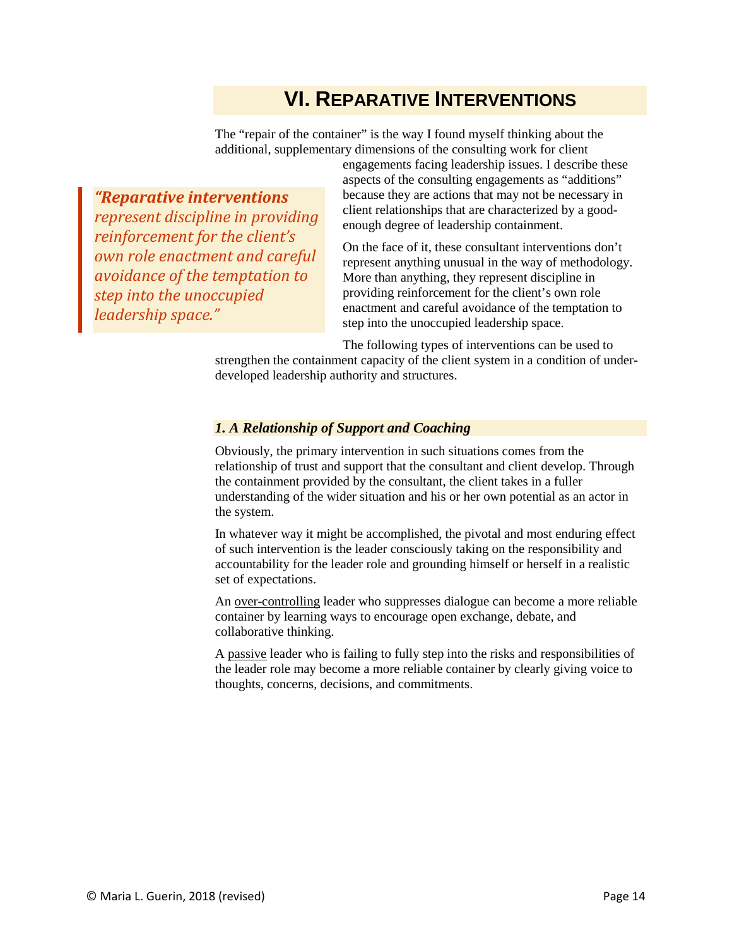## **VI. REPARATIVE INTERVENTIONS**

The "repair of the container" is the way I found myself thinking about the additional, supplementary dimensions of the consulting work for client

*"Reparative interventions represent discipline in providing reinforcement for the client's own role enactment and careful avoidance of the temptation to step into the unoccupied leadership space."*

engagements facing leadership issues. I describe these aspects of the consulting engagements as "additions" because they are actions that may not be necessary in client relationships that are characterized by a goodenough degree of leadership containment.

On the face of it, these consultant interventions don't represent anything unusual in the way of methodology. More than anything, they represent discipline in providing reinforcement for the client's own role enactment and careful avoidance of the temptation to step into the unoccupied leadership space.

The following types of interventions can be used to

strengthen the containment capacity of the client system in a condition of underdeveloped leadership authority and structures.

#### *1. A Relationship of Support and Coaching*

Obviously, the primary intervention in such situations comes from the relationship of trust and support that the consultant and client develop. Through the containment provided by the consultant, the client takes in a fuller understanding of the wider situation and his or her own potential as an actor in the system.

In whatever way it might be accomplished, the pivotal and most enduring effect of such intervention is the leader consciously taking on the responsibility and accountability for the leader role and grounding himself or herself in a realistic set of expectations.

An over-controlling leader who suppresses dialogue can become a more reliable container by learning ways to encourage open exchange, debate, and collaborative thinking.

A passive leader who is failing to fully step into the risks and responsibilities of the leader role may become a more reliable container by clearly giving voice to thoughts, concerns, decisions, and commitments.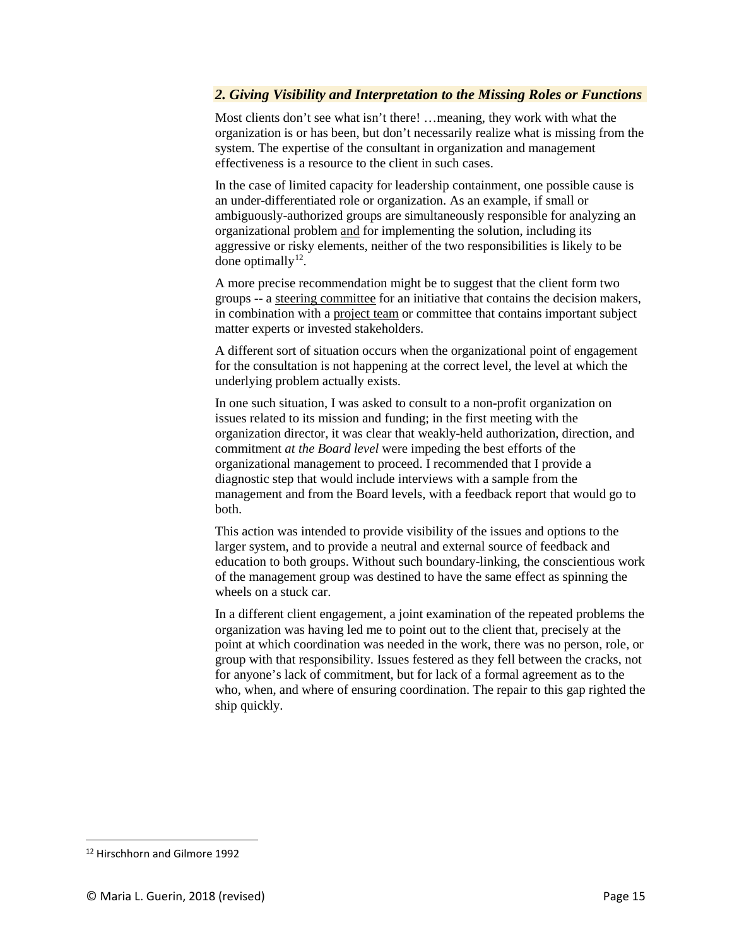#### *2. Giving Visibility and Interpretation to the Missing Roles or Functions*

Most clients don't see what isn't there! …meaning, they work with what the organization is or has been, but don't necessarily realize what is missing from the system. The expertise of the consultant in organization and management effectiveness is a resource to the client in such cases.

In the case of limited capacity for leadership containment, one possible cause is an under-differentiated role or organization. As an example, if small or ambiguously-authorized groups are simultaneously responsible for analyzing an organizational problem and for implementing the solution, including its aggressive or risky elements, neither of the two responsibilities is likely to be done optimally<sup>12</sup>.

A more precise recommendation might be to suggest that the client form two groups -- a steering committee for an initiative that contains the decision makers, in combination with a project team or committee that contains important subject matter experts or invested stakeholders.

A different sort of situation occurs when the organizational point of engagement for the consultation is not happening at the correct level, the level at which the underlying problem actually exists.

In one such situation, I was asked to consult to a non-profit organization on issues related to its mission and funding; in the first meeting with the organization director, it was clear that weakly-held authorization, direction, and commitment *at the Board level* were impeding the best efforts of the organizational management to proceed. I recommended that I provide a diagnostic step that would include interviews with a sample from the management and from the Board levels, with a feedback report that would go to both.

This action was intended to provide visibility of the issues and options to the larger system, and to provide a neutral and external source of feedback and education to both groups. Without such boundary-linking, the conscientious work of the management group was destined to have the same effect as spinning the wheels on a stuck car.

In a different client engagement, a joint examination of the repeated problems the organization was having led me to point out to the client that, precisely at the point at which coordination was needed in the work, there was no person, role, or group with that responsibility. Issues festered as they fell between the cracks, not for anyone's lack of commitment, but for lack of a formal agreement as to the who, when, and where of ensuring coordination. The repair to this gap righted the ship quickly.

<span id="page-14-0"></span> <sup>12</sup> Hirschhorn and Gilmore 1992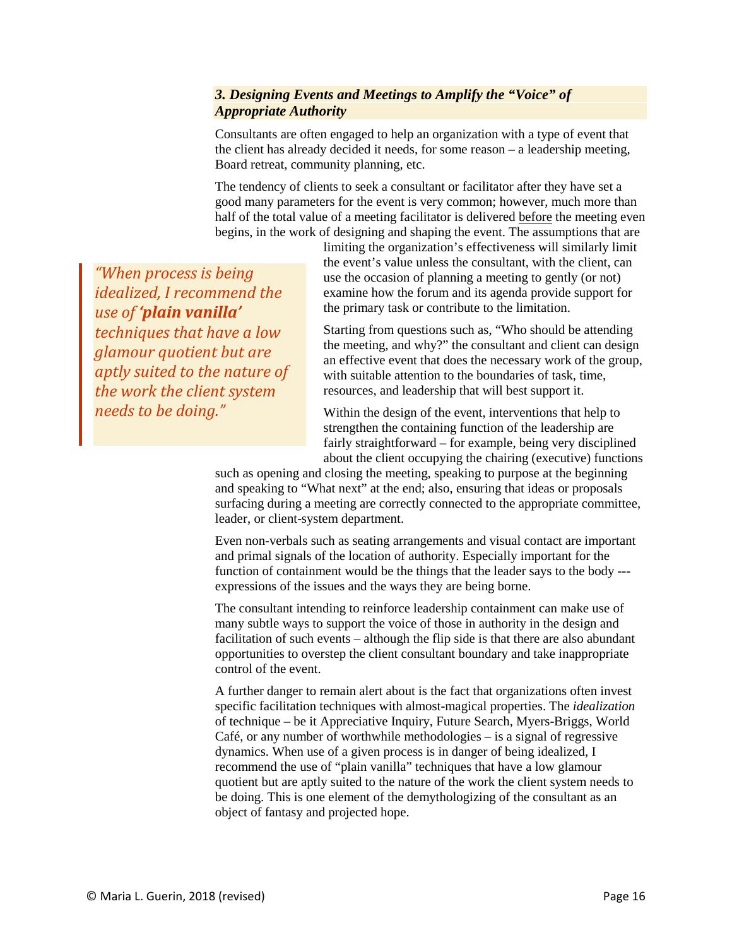#### *3. Designing Events and Meetings to Amplify the "Voice" of Appropriate Authority*

Consultants are often engaged to help an organization with a type of event that the client has already decided it needs, for some reason – a leadership meeting, Board retreat, community planning, etc.

The tendency of clients to seek a consultant or facilitator after they have set a good many parameters for the event is very common; however, much more than half of the total value of a meeting facilitator is delivered before the meeting even begins, in the work of designing and shaping the event. The assumptions that are

> limiting the organization's effectiveness will similarly limit the event's value unless the consultant, with the client, can use the occasion of planning a meeting to gently (or not) examine how the forum and its agenda provide support for the primary task or contribute to the limitation.

Starting from questions such as, "Who should be attending the meeting, and why?" the consultant and client can design an effective event that does the necessary work of the group, with suitable attention to the boundaries of task, time, resources, and leadership that will best support it.

Within the design of the event, interventions that help to strengthen the containing function of the leadership are fairly straightforward – for example, being very disciplined about the client occupying the chairing (executive) functions

such as opening and closing the meeting, speaking to purpose at the beginning and speaking to "What next" at the end; also, ensuring that ideas or proposals surfacing during a meeting are correctly connected to the appropriate committee, leader, or client-system department.

Even non-verbals such as seating arrangements and visual contact are important and primal signals of the location of authority. Especially important for the function of containment would be the things that the leader says to the body -- expressions of the issues and the ways they are being borne.

The consultant intending to reinforce leadership containment can make use of many subtle ways to support the voice of those in authority in the design and facilitation of such events – although the flip side is that there are also abundant opportunities to overstep the client consultant boundary and take inappropriate control of the event.

A further danger to remain alert about is the fact that organizations often invest specific facilitation techniques with almost-magical properties. The *idealization* of technique – be it Appreciative Inquiry, Future Search, Myers-Briggs, World Café, or any number of worthwhile methodologies – is a signal of regressive dynamics. When use of a given process is in danger of being idealized, I recommend the use of "plain vanilla" techniques that have a low glamour quotient but are aptly suited to the nature of the work the client system needs to be doing. This is one element of the demythologizing of the consultant as an object of fantasy and projected hope.

*"When process is being idealized, I recommend the use of 'plain vanilla' techniques that have a low glamour quotient but are aptly suited to the nature of the work the client system needs to be doing."*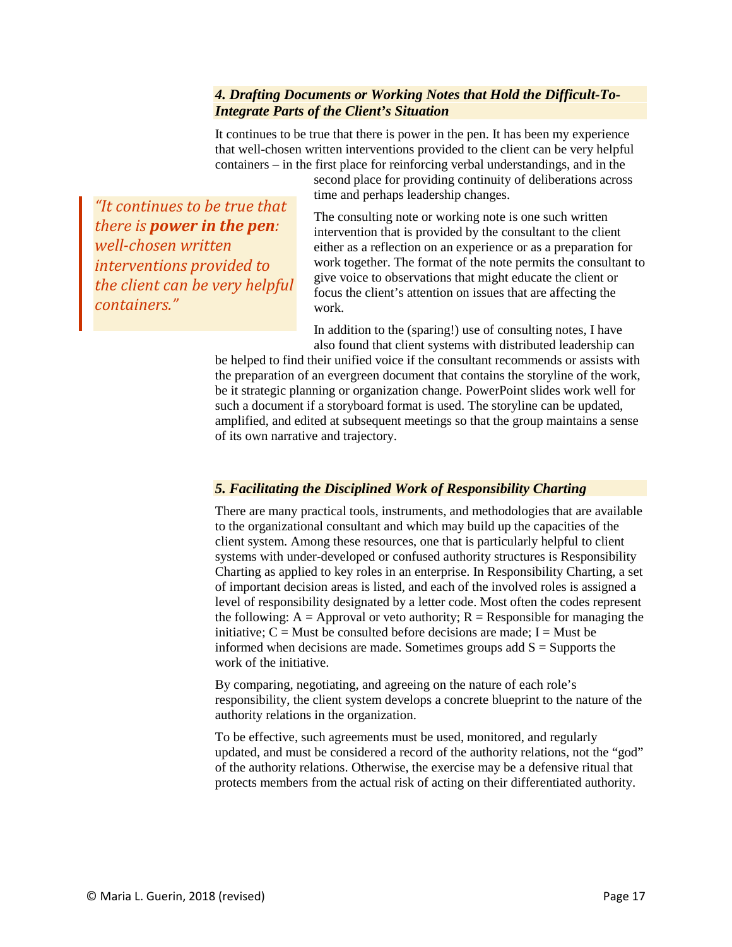#### *4. Drafting Documents or Working Notes that Hold the Difficult-To-Integrate Parts of the Client's Situation*

It continues to be true that there is power in the pen. It has been my experience that well-chosen written interventions provided to the client can be very helpful containers – in the first place for reinforcing verbal understandings, and in the

second place for providing continuity of deliberations across time and perhaps leadership changes.

*"It continues to be true that there is power in the pen: well-chosen written interventions provided to the client can be very helpful containers."*

The consulting note or working note is one such written intervention that is provided by the consultant to the client either as a reflection on an experience or as a preparation for work together. The format of the note permits the consultant to give voice to observations that might educate the client or focus the client's attention on issues that are affecting the work.

In addition to the (sparing!) use of consulting notes, I have also found that client systems with distributed leadership can

be helped to find their unified voice if the consultant recommends or assists with the preparation of an evergreen document that contains the storyline of the work, be it strategic planning or organization change. PowerPoint slides work well for such a document if a storyboard format is used. The storyline can be updated, amplified, and edited at subsequent meetings so that the group maintains a sense of its own narrative and trajectory.

#### *5. Facilitating the Disciplined Work of Responsibility Charting*

There are many practical tools, instruments, and methodologies that are available to the organizational consultant and which may build up the capacities of the client system. Among these resources, one that is particularly helpful to client systems with under-developed or confused authority structures is Responsibility Charting as applied to key roles in an enterprise. In Responsibility Charting, a set of important decision areas is listed, and each of the involved roles is assigned a level of responsibility designated by a letter code. Most often the codes represent the following:  $A =$  Approval or veto authority;  $R =$  Responsible for managing the initiative;  $C =$  Must be consulted before decisions are made;  $I =$  Must be informed when decisions are made. Sometimes groups add  $S =$  Supports the work of the initiative.

By comparing, negotiating, and agreeing on the nature of each role's responsibility, the client system develops a concrete blueprint to the nature of the authority relations in the organization.

To be effective, such agreements must be used, monitored, and regularly updated, and must be considered a record of the authority relations, not the "god" of the authority relations. Otherwise, the exercise may be a defensive ritual that protects members from the actual risk of acting on their differentiated authority.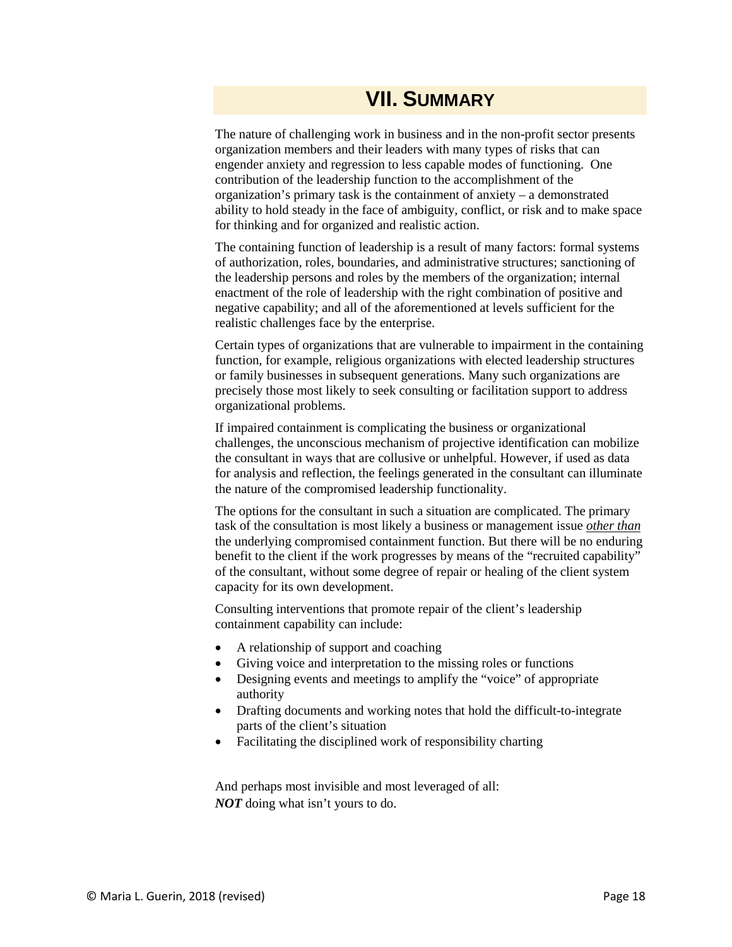### **VII. SUMMARY**

The nature of challenging work in business and in the non-profit sector presents organization members and their leaders with many types of risks that can engender anxiety and regression to less capable modes of functioning. One contribution of the leadership function to the accomplishment of the organization's primary task is the containment of anxiety – a demonstrated ability to hold steady in the face of ambiguity, conflict, or risk and to make space for thinking and for organized and realistic action.

The containing function of leadership is a result of many factors: formal systems of authorization, roles, boundaries, and administrative structures; sanctioning of the leadership persons and roles by the members of the organization; internal enactment of the role of leadership with the right combination of positive and negative capability; and all of the aforementioned at levels sufficient for the realistic challenges face by the enterprise.

Certain types of organizations that are vulnerable to impairment in the containing function, for example, religious organizations with elected leadership structures or family businesses in subsequent generations. Many such organizations are precisely those most likely to seek consulting or facilitation support to address organizational problems.

If impaired containment is complicating the business or organizational challenges, the unconscious mechanism of projective identification can mobilize the consultant in ways that are collusive or unhelpful. However, if used as data for analysis and reflection, the feelings generated in the consultant can illuminate the nature of the compromised leadership functionality.

The options for the consultant in such a situation are complicated. The primary task of the consultation is most likely a business or management issue *other than* the underlying compromised containment function. But there will be no enduring benefit to the client if the work progresses by means of the "recruited capability" of the consultant, without some degree of repair or healing of the client system capacity for its own development.

Consulting interventions that promote repair of the client's leadership containment capability can include:

- A relationship of support and coaching
- Giving voice and interpretation to the missing roles or functions
- Designing events and meetings to amplify the "voice" of appropriate authority
- Drafting documents and working notes that hold the difficult-to-integrate parts of the client's situation
- Facilitating the disciplined work of responsibility charting

And perhaps most invisible and most leveraged of all: *NOT* doing what isn't yours to do.